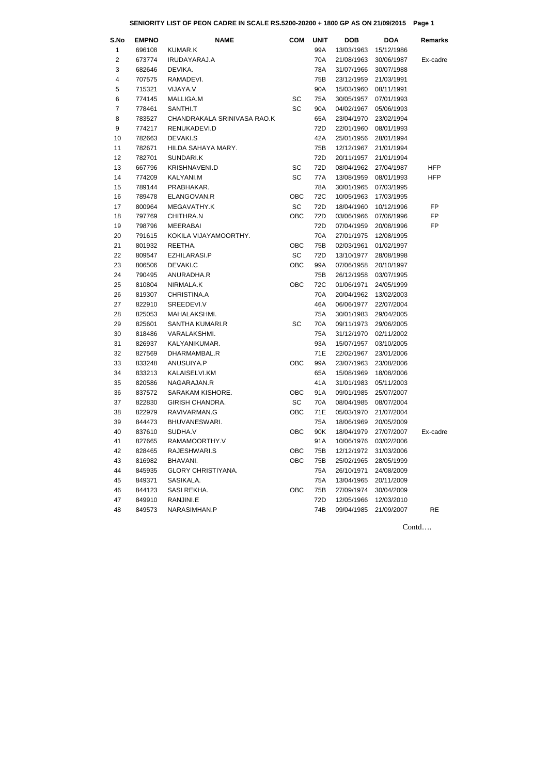Contd….

## **SENIORITY LIST OF PEON CADRE IN SCALE RS.5200-20200 + 1800 GP AS ON 21/09/2015 Page 1**

| S.No                    | <b>EMPNO</b> | <b>NAME</b>                 | <b>COM</b> | <b>UNIT</b> | <b>DOB</b> | <b>DOA</b> | Remarks    |
|-------------------------|--------------|-----------------------------|------------|-------------|------------|------------|------------|
| 1                       | 696108       | <b>KUMAR.K</b>              |            | 99A         | 13/03/1963 | 15/12/1986 |            |
| $\overline{2}$          | 673774       | IRUDAYARAJ.A                |            | 70A         | 21/08/1963 | 30/06/1987 | Ex-cadre   |
| 3                       | 682646       | DEVIKA.                     |            | 78A         | 31/07/1966 | 30/07/1988 |            |
| $\overline{\mathbf{4}}$ | 707575       | RAMADEVI.                   |            | 75B         | 23/12/1959 | 21/03/1991 |            |
| 5                       | 715321       | VIJAYA.V                    |            | 90A         | 15/03/1960 | 08/11/1991 |            |
| 6                       | 774145       | MALLIGA.M                   | SC         | 75A         | 30/05/1957 | 07/01/1993 |            |
| $\overline{7}$          | 778461       | SANTHI.T                    | SC         | 90A         | 04/02/1967 | 05/06/1993 |            |
| 8                       | 783527       | CHANDRAKALA SRINIVASA RAO.K |            | 65A         | 23/04/1970 | 23/02/1994 |            |
| 9                       | 774217       | RENUKADEVI.D                |            | 72D         | 22/01/1960 | 08/01/1993 |            |
| 10                      | 782663       | DEVAKI.S                    |            | 42A         | 25/01/1956 | 28/01/1994 |            |
| 11                      | 782671       | HILDA SAHAYA MARY.          |            | 75B         | 12/12/1967 | 21/01/1994 |            |
| 12                      | 782701       | SUNDARI.K                   |            | 72D         | 20/11/1957 | 21/01/1994 |            |
| 13                      | 667796       | <b>KRISHNAVENI.D</b>        | SC         | 72D         | 08/04/1962 | 27/04/1987 | <b>HFP</b> |
| 14                      | 774209       | KALYANI.M                   | SC         | 77A         | 13/08/1959 | 08/01/1993 | <b>HFP</b> |
| 15                      | 789144       | PRABHAKAR.                  |            | 78A         | 30/01/1965 | 07/03/1995 |            |
| 16                      | 789478       | ELANGOVAN.R                 | <b>OBC</b> | 72C         | 10/05/1963 | 17/03/1995 |            |
| 17                      | 800964       | MEGAVATHY.K                 | SC         | 72D         | 18/04/1960 | 10/12/1996 | FP         |
| 18                      | 797769       | CHITHRA.N                   | OBC        | 72D         | 03/06/1966 | 07/06/1996 | FP         |
| 19                      | 798796       | <b>MEERABAI</b>             |            | 72D         | 07/04/1959 | 20/08/1996 | FP         |
| 20                      | 791615       | KOKILA VIJAYAMOORTHY.       |            | 70A         | 27/01/1975 | 12/08/1995 |            |
| 21                      | 801932       | REETHA.                     | <b>OBC</b> | 75B         | 02/03/1961 | 01/02/1997 |            |
| 22                      | 809547       | EZHILARASI.P                | SC         | 72D         | 13/10/1977 | 28/08/1998 |            |
| 23                      | 806506       | DEVAKI.C                    | OBC        | 99A         | 07/06/1958 | 20/10/1997 |            |
| 24                      | 790495       | ANURADHA.R                  |            | 75B         | 26/12/1958 | 03/07/1995 |            |
| 25                      | 810804       | NIRMALA.K                   | OBC        | 72C         | 01/06/1971 | 24/05/1999 |            |
| 26                      | 819307       | CHRISTINA.A                 |            | 70A         | 20/04/1962 | 13/02/2003 |            |
| 27                      | 822910       | SREEDEVI.V                  |            | 46A         | 06/06/1977 | 22/07/2004 |            |
| 28                      | 825053       | MAHALAKSHMI.                |            | 75A         | 30/01/1983 | 29/04/2005 |            |
| 29                      | 825601       | <b>SANTHA KUMARI.R</b>      | <b>SC</b>  | 70A         | 09/11/1973 | 29/06/2005 |            |
| 30                      | 818486       | VARALAKSHMI.                |            | 75A         | 31/12/1970 | 02/11/2002 |            |
| 31                      | 826937       | KALYANIKUMAR.               |            | 93A         | 15/07/1957 | 03/10/2005 |            |
| 32                      | 827569       | DHARMAMBAL.R                |            | 71E         | 22/02/1967 | 23/01/2006 |            |
| 33                      | 833248       | ANUSUIYA.P                  | OBC        | 99A         | 23/07/1963 | 23/08/2006 |            |
| 34                      | 833213       | KALAISELVI.KM               |            | 65A         | 15/08/1969 | 18/08/2006 |            |
| 35                      | 820586       | NAGARAJAN.R                 |            | 41A         | 31/01/1983 | 05/11/2003 |            |
| 36                      | 837572       | SARAKAM KISHORE.            | <b>OBC</b> | 91A         | 09/01/1985 | 25/07/2007 |            |
| 37                      | 822830       | <b>GIRISH CHANDRA.</b>      | SC         | 70A         | 08/04/1985 | 08/07/2004 |            |
| 38                      | 822979       | RAVIVARMAN.G                | OBC        | 71E         | 05/03/1970 | 21/07/2004 |            |
| 39                      | 844473       | BHUVANESWARI.               |            | 75A         | 18/06/1969 | 20/05/2009 |            |
| 40                      | 837610       | SUDHA.V                     | <b>OBC</b> | 90K         | 18/04/1979 | 27/07/2007 | Ex-cadre   |
| 41                      | 827665       | RAMAMOORTHY.V               |            | 91A         | 10/06/1976 | 03/02/2006 |            |
| 42                      | 828465       | RAJESHWARI.S                | OBC        | 75B         | 12/12/1972 | 31/03/2006 |            |
| 43                      | 816982       | BHAVANI.                    | OBC        | 75B         | 25/02/1965 | 28/05/1999 |            |
| 44                      | 845935       | <b>GLORY CHRISTIYANA.</b>   |            | 75A         | 26/10/1971 | 24/08/2009 |            |
| 45                      | 849371       | SASIKALA.                   |            | 75A         | 13/04/1965 | 20/11/2009 |            |
| 46                      | 844123       | SASI REKHA.                 | OBC        | 75B         | 27/09/1974 | 30/04/2009 |            |
| 47                      | 849910       | RANJINI.E                   |            | 72D         | 12/05/1966 | 12/03/2010 |            |
| 48                      | 849573       | NARASIMHAN.P                |            | 74B         | 09/04/1985 | 21/09/2007 | RE         |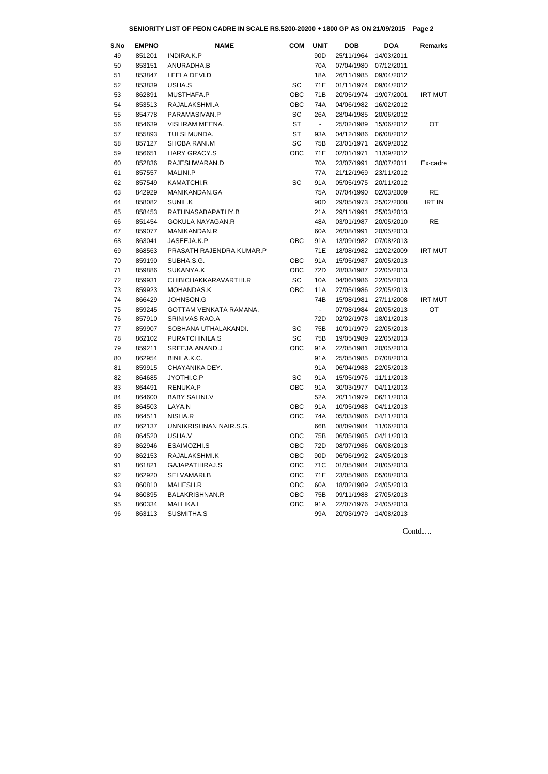Contd….

## **SENIORITY LIST OF PEON CADRE IN SCALE RS.5200-20200 + 1800 GP AS ON 21/09/2015 Page 2**

| S.No | <b>EMPNO</b> | <b>NAME</b>              | <b>COM</b> | <b>UNIT</b>    | <b>DOB</b> | <b>DOA</b> | <b>Remarks</b> |
|------|--------------|--------------------------|------------|----------------|------------|------------|----------------|
| 49   | 851201       | INDIRA.K.P               |            | 90D            | 25/11/1964 | 14/03/2011 |                |
| 50   | 853151       | ANURADHA.B               |            | 70A            | 07/04/1980 | 07/12/2011 |                |
| 51   | 853847       | LEELA DEVI.D             |            | 18A            | 26/11/1985 | 09/04/2012 |                |
| 52   | 853839       | USHA.S                   | <b>SC</b>  | 71E            | 01/11/1974 | 09/04/2012 |                |
| 53   | 862891       | MUSTHAFA.P               | <b>OBC</b> | 71B            | 20/05/1974 | 19/07/2001 | <b>IRT MUT</b> |
| 54   | 853513       | RAJALAKSHMI.A            | <b>OBC</b> | 74A            | 04/06/1982 | 16/02/2012 |                |
| 55   | 854778       | PARAMASIVAN.P            | SC         | 26A            | 28/04/1985 | 20/06/2012 |                |
| 56   | 854639       | VISHRAM MEENA.           | <b>ST</b>  | $\blacksquare$ | 25/02/1989 | 15/06/2012 | OT             |
| 57   | 855893       | TULSI MUNDA.             | <b>ST</b>  | 93A            | 04/12/1986 | 06/08/2012 |                |
| 58   | 857127       | SHOBA RANI.M             | SC         | 75B            | 23/01/1971 | 26/09/2012 |                |
| 59   | 856651       | <b>HARY GRACY.S</b>      | <b>OBC</b> | 71E            | 02/01/1971 | 11/09/2012 |                |
| 60   | 852836       | RAJESHWARAN.D            |            | 70A            | 23/07/1991 | 30/07/2011 | Ex-cadre       |
| 61   | 857557       | MALINI.P                 |            | 77A            | 21/12/1969 | 23/11/2012 |                |
| 62   | 857549       | KAMATCHI.R               | SC         | 91A            | 05/05/1975 | 20/11/2012 |                |
| 63   | 842929       | MANIKANDAN.GA            |            | 75A            | 07/04/1990 | 02/03/2009 | <b>RE</b>      |
| 64   | 858082       | SUNIL.K                  |            | 90D            | 29/05/1973 | 25/02/2008 | <b>IRT IN</b>  |
| 65   | 858453       | RATHNASABAPATHY.B        |            | 21A            | 29/11/1991 | 25/03/2013 |                |
| 66   | 851454       | <b>GOKULA NAYAGAN.R</b>  |            | 48A            | 03/01/1987 | 20/05/2010 | <b>RE</b>      |
| 67   | 859077       | MANIKANDAN.R             |            | 60A            | 26/08/1991 | 20/05/2013 |                |
| 68   | 863041       | JASEEJA.K.P              | <b>OBC</b> | 91A            | 13/09/1982 | 07/08/2013 |                |
| 69   | 868563       | PRASATH RAJENDRA KUMAR.P |            | 71E            | 18/08/1982 | 12/02/2009 | <b>IRT MUT</b> |
| 70   | 859190       | SUBHA.S.G.               | <b>OBC</b> | 91A            | 15/05/1987 | 20/05/2013 |                |
| 71   | 859886       | SUKANYA.K                | <b>OBC</b> | 72D            | 28/03/1987 | 22/05/2013 |                |
| 72   | 859931       | CHIBICHAKKARAVARTHI.R    | SC         | 10A            | 04/06/1986 | 22/05/2013 |                |
| 73   | 859923       | MOHANDAS.K               | <b>OBC</b> | 11A            | 27/05/1986 | 22/05/2013 |                |
| 74   | 866429       | JOHNSON.G                |            | 74B            | 15/08/1981 | 27/11/2008 | <b>IRT MUT</b> |
| 75   | 859245       | GOTTAM VENKATA RAMANA.   |            | $\omega$       | 07/08/1984 | 20/05/2013 | OT             |
| 76   | 857910       | SRINIVAS RAO.A           |            | 72D            | 02/02/1978 | 18/01/2013 |                |
| 77   | 859907       | SOBHANA UTHALAKANDI.     | SC         | 75B            | 10/01/1979 | 22/05/2013 |                |
| 78   | 862102       | PURATCHINILA.S           | SC         | 75B            | 19/05/1989 | 22/05/2013 |                |
| 79   | 859211       | SREEJA ANAND.J           | <b>OBC</b> | 91A            | 22/05/1981 | 20/05/2013 |                |
| 80   | 862954       | BINILA.K.C.              |            | 91A            | 25/05/1985 | 07/08/2013 |                |
| 81   | 859915       | CHAYANIKA DEY.           |            | 91A            | 06/04/1988 | 22/05/2013 |                |
| 82   | 864685       | JYOTHI.C.P               | <b>SC</b>  | 91A            | 15/05/1976 | 11/11/2013 |                |
| 83   | 864491       | RENUKA.P                 | <b>OBC</b> | 91A            | 30/03/1977 | 04/11/2013 |                |
| 84   | 864600       | <b>BABY SALINI.V</b>     |            | 52A            | 20/11/1979 | 06/11/2013 |                |
| 85   | 864503       | LAYA.N                   | <b>OBC</b> | 91A            | 10/05/1988 | 04/11/2013 |                |
| 86   | 864511       | NISHA.R                  | <b>OBC</b> | 74A            | 05/03/1986 | 04/11/2013 |                |
| 87   | 862137       | UNNIKRISHNAN NAIR.S.G.   |            | 66B            | 08/09/1984 | 11/06/2013 |                |
| 88   | 864520       | USHA.V                   | <b>OBC</b> | 75B            | 06/05/1985 | 04/11/2013 |                |
| 89   | 862946       | ESAIMOZHI.S              | <b>OBC</b> | 72D            | 08/07/1986 | 06/08/2013 |                |
| 90   | 862153       | RAJALAKSHMI.K            | <b>OBC</b> | 90D            | 06/06/1992 | 24/05/2013 |                |
| 91   | 861821       | GAJAPATHIRAJ.S           | <b>OBC</b> | 71C            | 01/05/1984 | 28/05/2013 |                |
| 92   | 862920       | SELVAMARI.B              | <b>OBC</b> | 71E            | 23/05/1986 | 05/08/2013 |                |
| 93   | 860810       | MAHESH.R                 | <b>OBC</b> | 60A            | 18/02/1989 | 24/05/2013 |                |
| 94   | 860895       | <b>BALAKRISHNAN.R</b>    | <b>OBC</b> | 75B            | 09/11/1988 | 27/05/2013 |                |
| 95   | 860334       | <b>MALLIKA.L</b>         | <b>OBC</b> | 91A            | 22/07/1976 | 24/05/2013 |                |
| 96   | 863113       | SUSMITHA.S               |            | 99A            | 20/03/1979 | 14/08/2013 |                |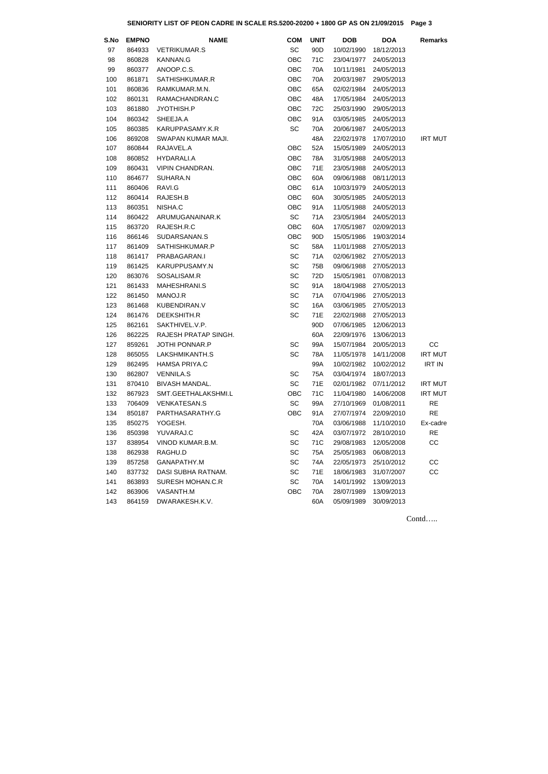Contd…..

## **SENIORITY LIST OF PEON CADRE IN SCALE RS.5200-20200 + 1800 GP AS ON 21/09/2015 Page 3**

| S.No | <b>EMPNO</b> | <b>NAME</b>             | <b>COM</b> | <b>UNIT</b>     | <b>DOB</b>            | <b>DOA</b> | <b>Remarks</b> |
|------|--------------|-------------------------|------------|-----------------|-----------------------|------------|----------------|
| 97   | 864933       | <b>VETRIKUMAR.S</b>     | <b>SC</b>  | 90 <sub>D</sub> | 10/02/1990            | 18/12/2013 |                |
| 98   | 860828       | <b>KANNAN.G</b>         | OBC        | 71C             | 23/04/1977            | 24/05/2013 |                |
| 99   | 860377       | ANOOP.C.S.              | OBC        | 70A             | 10/11/1981            | 24/05/2013 |                |
| 100  | 861871       | SATHISHKUMAR.R          | <b>OBC</b> | 70A             | 20/03/1987            | 29/05/2013 |                |
| 101  | 860836       | RAMKUMAR.M.N.           | OBC        | 65A             | 02/02/1984            | 24/05/2013 |                |
| 102  | 860131       | RAMACHANDRAN.C          | <b>OBC</b> | 48A             | 17/05/1984            | 24/05/2013 |                |
| 103  | 861880       | JYOTHISH.P              | <b>OBC</b> | 72C             | 25/03/1990            | 29/05/2013 |                |
| 104  | 860342       | SHEEJA.A                | OBC        | 91A             | 03/05/1985            | 24/05/2013 |                |
| 105  | 860385       | KARUPPASAMY.K.R         | <b>SC</b>  | 70A             | 20/06/1987            | 24/05/2013 |                |
| 106  | 869208       | SWAPAN KUMAR MAJI.      |            | 48A             | 22/02/1978            | 17/07/2010 | <b>IRT MUT</b> |
| 107  | 860844       | RAJAVEL.A               | <b>OBC</b> | 52A             | 15/05/1989            | 24/05/2013 |                |
| 108  | 860852       | HYDARALI.A              | OBC        | 78A             | 31/05/1988            | 24/05/2013 |                |
| 109  | 860431       | <b>VIPIN CHANDRAN.</b>  | OBC        | 71E             | 23/05/1988            | 24/05/2013 |                |
| 110  | 864677       | SUHARA.N                | <b>OBC</b> | 60A             | 09/06/1988            | 08/11/2013 |                |
| 111  | 860406       | RAVI.G                  | OBC        | 61A             | 10/03/1979            | 24/05/2013 |                |
| 112  | 860414       | RAJESH.B                | OBC        | 60A             | 30/05/1985            | 24/05/2013 |                |
| 113  | 860351       | NISHA.C                 | OBC        | 91A             | 11/05/1988            | 24/05/2013 |                |
| 114  | 860422       | ARUMUGANAINAR.K         | SC         | 71A             | 23/05/1984            | 24/05/2013 |                |
| 115  | 863720       | RAJESH.R.C              | OBC        | 60A             | 17/05/1987            | 02/09/2013 |                |
| 116  | 866146       | SUDARSANAN.S            | OBC        | 90 <sub>D</sub> | 15/05/1986            | 19/03/2014 |                |
| 117  | 861409       | SATHISHKUMAR.P          | <b>SC</b>  | 58A             | 11/01/1988            | 27/05/2013 |                |
| 118  | 861417       | PRABAGARAN.I            | <b>SC</b>  | 71A             | 02/06/1982            | 27/05/2013 |                |
| 119  | 861425       | KARUPPUSAMY.N           | <b>SC</b>  | 75B             | 09/06/1988            | 27/05/2013 |                |
| 120  | 863076       | SOSALISAM.R             | <b>SC</b>  | 72D             | 15/05/1981            | 07/08/2013 |                |
| 121  | 861433       | MAHESHRANI.S            | <b>SC</b>  | 91A             | 18/04/1988            | 27/05/2013 |                |
| 122  | 861450       | MANOJ.R                 | <b>SC</b>  | 71A             | 07/04/1986            | 27/05/2013 |                |
| 123  | 861468       | KUBENDIRAN.V            | <b>SC</b>  | 16A             | 03/06/1985            | 27/05/2013 |                |
| 124  | 861476       | DEEKSHITH.R             | <b>SC</b>  | 71E             | 22/02/1988            | 27/05/2013 |                |
| 125  |              | 862161 SAKTHIVEL.V.P.   |            | 90D             | 07/06/1985 12/06/2013 |            |                |
| 126  | 862225       | RAJESH PRATAP SINGH.    |            | 60A             | 22/09/1976            | 13/06/2013 |                |
| 127  | 859261       | <b>JOTHI PONNAR.P</b>   | <b>SC</b>  | 99A             | 15/07/1984            | 20/05/2013 | cc             |
| 128  | 865055       | LAKSHMIKANTH.S          | <b>SC</b>  | 78A             | 11/05/1978            | 14/11/2008 | <b>IRT MUT</b> |
| 129  | 862495       | HAMSA PRIYA.C           |            | 99A             | 10/02/1982            | 10/02/2012 | <b>IRT IN</b>  |
| 130  | 862807       | <b>VENNILA.S</b>        | <b>SC</b>  | 75A             | 03/04/1974            | 18/07/2013 |                |
| 131  | 870410       | <b>BIVASH MANDAL.</b>   | <b>SC</b>  | 71E             | 02/01/1982            | 07/11/2012 | <b>IRT MUT</b> |
| 132  | 867923       | SMT.GEETHALAKSHMI.L     | OBC        | 71C             | 11/04/1980            | 14/06/2008 | <b>IRT MUT</b> |
| 133  | 706409       | <b>VENKATESAN.S</b>     | SC         | 99A             | 27/10/1969            | 01/08/2011 | <b>RE</b>      |
| 134  | 850187       | PARTHASARATHY.G         | OBC        | 91A             | 27/07/1974            | 22/09/2010 | RE             |
| 135  | 850275       | YOGESH.                 |            | 70A             | 03/06/1988            | 11/10/2010 | Ex-cadre       |
| 136  | 850398       | YUVARAJ.C               | <b>SC</b>  | 42A             | 03/07/1972            | 28/10/2010 | <b>RE</b>      |
| 137  | 838954       | VINOD KUMAR.B.M.        | <b>SC</b>  | 71C             | 29/08/1983            | 12/05/2008 | cc             |
| 138  | 862938       | RAGHU.D                 | <b>SC</b>  | 75A             | 25/05/1983            | 06/08/2013 |                |
| 139  | 857258       | GANAPATHY.M             | <b>SC</b>  | 74A             | 22/05/1973            | 25/10/2012 | cc             |
| 140  | 837732       | DASI SUBHA RATNAM.      | <b>SC</b>  | 71E             | 18/06/1983            | 31/07/2007 | CC             |
| 141  | 863893       | <b>SURESH MOHAN.C.R</b> | SC         | 70A             | 14/01/1992            | 13/09/2013 |                |
| 142  | 863906       | VASANTH.M               | OBC        | 70A             | 28/07/1989            | 13/09/2013 |                |
| 143  | 864159       | DWARAKESH.K.V.          |            | 60A             | 05/09/1989            | 30/09/2013 |                |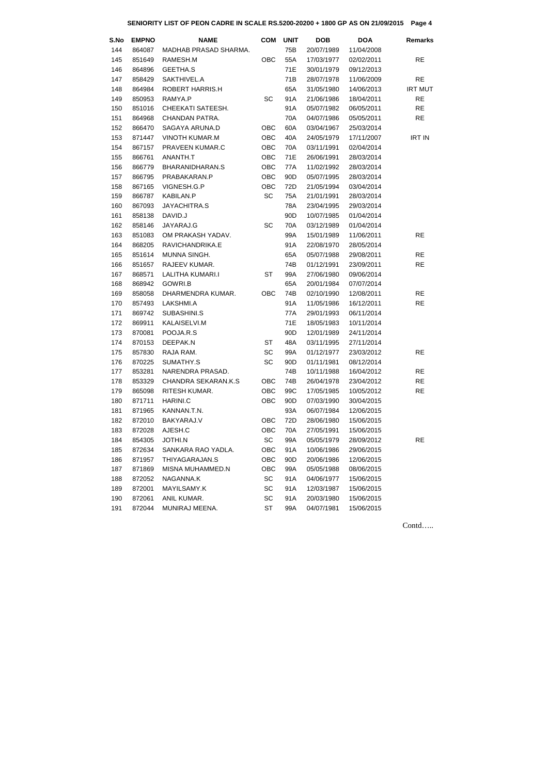Contd…..

| S.No | <b>EMPNO</b> | <b>NAME</b>                | <b>COM</b> | <b>UNIT</b>     | <b>DOB</b> | <b>DOA</b> | <b>Remarks</b> |
|------|--------------|----------------------------|------------|-----------------|------------|------------|----------------|
| 144  | 864087       | MADHAB PRASAD SHARMA.      |            | 75B             | 20/07/1989 | 11/04/2008 |                |
| 145  | 851649       | RAMESH.M                   | OBC        | 55A             | 17/03/1977 | 02/02/2011 | <b>RE</b>      |
| 146  | 864896       | <b>GEETHA.S</b>            |            | 71E             | 30/01/1979 | 09/12/2013 |                |
| 147  | 858429       | SAKTHIVEL.A                |            | 71B             | 28/07/1978 | 11/06/2009 | <b>RE</b>      |
| 148  | 864984       | ROBERT HARRIS.H            |            | 65A             | 31/05/1980 | 14/06/2013 | <b>IRT MUT</b> |
| 149  | 850953       | RAMYA.P                    | SC         | 91A             | 21/06/1986 | 18/04/2011 | <b>RE</b>      |
| 150  | 851016       | CHEEKATI SATEESH.          |            | 91A             | 05/07/1982 | 06/05/2011 | <b>RE</b>      |
| 151  | 864968       | CHANDAN PATRA.             |            | 70A             | 04/07/1986 | 05/05/2011 | <b>RE</b>      |
| 152  | 866470       | SAGAYA ARUNA.D             | <b>OBC</b> | 60A             | 03/04/1967 | 25/03/2014 |                |
| 153  | 871447       | <b>VINOTH KUMAR.M</b>      | <b>OBC</b> | 40A             | 24/05/1979 | 17/11/2007 | <b>IRT IN</b>  |
| 154  | 867157       | PRAVEEN KUMAR.C            | OBC        | 70A             | 03/11/1991 | 02/04/2014 |                |
| 155  | 866761       | ANANTH.T                   | <b>OBC</b> | 71E             | 26/06/1991 | 28/03/2014 |                |
| 156  | 866779       | BHARANIDHARAN.S            | OBC        | 77A             | 11/02/1992 | 28/03/2014 |                |
| 157  | 866795       | PRABAKARAN.P               | <b>OBC</b> | 90D             | 05/07/1995 | 28/03/2014 |                |
| 158  | 867165       | VIGNESH.G.P                | OBC        | 72D             | 21/05/1994 | 03/04/2014 |                |
| 159  | 866787       | KABILAN.P                  | <b>SC</b>  | 75A             | 21/01/1991 | 28/03/2014 |                |
| 160  | 867093       | JAYACHITRA.S               |            | 78A             | 23/04/1995 | 29/03/2014 |                |
| 161  | 858138       | DAVID.J                    |            | 90 <sub>D</sub> | 10/07/1985 | 01/04/2014 |                |
| 162  | 858146       | JAYARAJ.G                  | SC         | 70A             | 03/12/1989 | 01/04/2014 |                |
| 163  | 851083       | OM PRAKASH YADAV.          |            | 99A             | 15/01/1989 | 11/06/2011 | <b>RE</b>      |
| 164  | 868205       | RAVICHANDRIKA.E            |            | 91A             | 22/08/1970 | 28/05/2014 |                |
| 165  | 851614       | MUNNA SINGH.               |            | 65A             | 05/07/1988 | 29/08/2011 | <b>RE</b>      |
| 166  | 851657       | RAJEEV KUMAR.              |            | 74B             | 01/12/1991 | 23/09/2011 | <b>RE</b>      |
| 167  | 868571       | LALITHA KUMARI.I           | <b>ST</b>  | 99A             | 27/06/1980 | 09/06/2014 |                |
| 168  | 868942       | GOWRI.B                    |            | 65A             | 20/01/1984 | 07/07/2014 |                |
| 169  | 858058       | DHARMENDRA KUMAR.          | <b>OBC</b> | 74B             | 02/10/1990 | 12/08/2011 | <b>RE</b>      |
| 170  | 857493       | LAKSHMI.A                  |            | 91A             | 11/05/1986 | 16/12/2011 | <b>RE</b>      |
| 171  | 869742       | SUBASHINI.S                |            | 77A             | 29/01/1993 | 06/11/2014 |                |
| 172  | 869911       | KALAISELVI.M               |            | 71E             | 18/05/1983 | 10/11/2014 |                |
| 173  | 870081       | POOJA.R.S                  |            | 90D             | 12/01/1989 | 24/11/2014 |                |
| 174  | 870153       | DEEPAK.N                   | ST         | 48A             | 03/11/1995 | 27/11/2014 |                |
| 175  | 857830       | RAJA RAM.                  | SC         | 99A             | 01/12/1977 | 23/03/2012 | <b>RE</b>      |
| 176  | 870225       | SUMATHY.S                  | SC         | 90 <sub>D</sub> | 01/11/1981 | 08/12/2014 |                |
| 177  | 853281       | NARENDRA PRASAD.           |            | 74B             | 10/11/1988 | 16/04/2012 | <b>RE</b>      |
| 178  | 853329       | <b>CHANDRA SEKARAN.K.S</b> | <b>OBC</b> | 74B             | 26/04/1978 | 23/04/2012 | <b>RE</b>      |
| 179  | 865098       | RITESH KUMAR.              | <b>OBC</b> | 99C             | 17/05/1985 | 10/05/2012 | <b>RE</b>      |
| 180  | 871711       | HARINI.C                   | OBC        | 90 <sub>D</sub> | 07/03/1990 | 30/04/2015 |                |
| 181  | 871965       | KANNAN.T.N.                |            | 93A             | 06/07/1984 | 12/06/2015 |                |
| 182  | 872010       | BAKYARAJ.V                 | OBC        | 72D             | 28/06/1980 | 15/06/2015 |                |
| 183  | 872028       | AJESH.C                    | <b>OBC</b> | 70A             | 27/05/1991 | 15/06/2015 |                |
| 184  | 854305       | <b>JOTHI.N</b>             | SC         | 99A             | 05/05/1979 | 28/09/2012 | <b>RE</b>      |
| 185  | 872634       | SANKARA RAO YADLA.         | OBC        | 91A             | 10/06/1986 | 29/06/2015 |                |
| 186  | 871957       | THIYAGARAJAN.S             | OBC        | 90 <sub>D</sub> | 20/06/1986 | 12/06/2015 |                |
| 187  | 871869       | MISNA MUHAMMED.N           | <b>OBC</b> | 99A             | 05/05/1988 | 08/06/2015 |                |
| 188  | 872052       | NAGANNA.K                  | SC         | 91A             | 04/06/1977 | 15/06/2015 |                |
| 189  | 872001       | MAYILSAMY.K                | SC         | 91A             | 12/03/1987 | 15/06/2015 |                |
| 190  | 872061       | ANIL KUMAR.                | SC         | 91A             | 20/03/1980 | 15/06/2015 |                |
| 191  | 872044       | MUNIRAJ MEENA.             | <b>ST</b>  | 99A             | 04/07/1981 | 15/06/2015 |                |